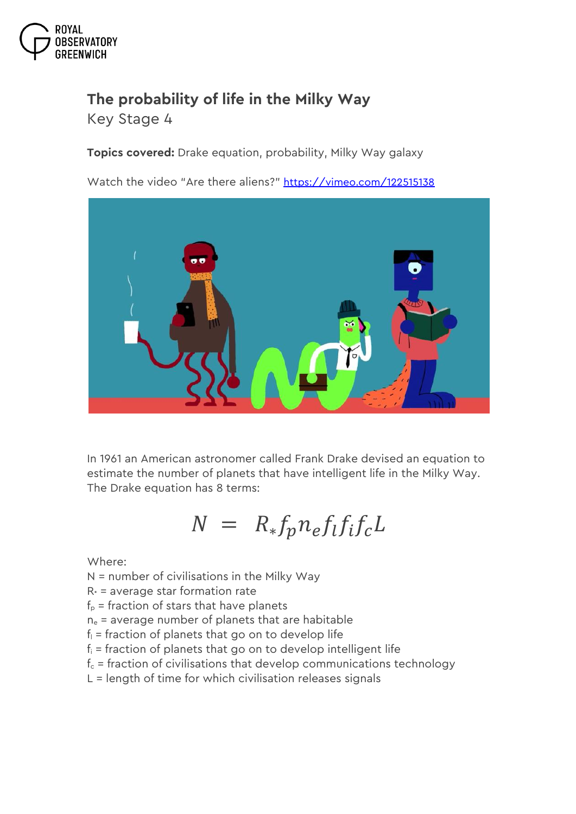

## **The probability of life in the Milky Way**

*Key Stage 4*

**Topics covered:** Drake equation, probability, Milky Way galaxy

Watch the video "Are there aliens?" <https://vimeo.com/122515138>



In 1961 an American astronomer called Frank Drake devised an equation to estimate the number of planets that have intelligent life in the Milky Way. The Drake equation has 8 terms:

## $N = R_* f_p n_e f_l f_l f_c L$

Where:

- N = number of civilisations in the Milky Way
- $R* =$  average star formation rate
- $f_p$  = fraction of stars that have planets
- $n_e$  = average number of planets that are habitable
- $f<sub>l</sub>$  = fraction of planets that go on to develop life
- $f_i$  = fraction of planets that go on to develop intelligent life
- $f_c$  = fraction of civilisations that develop communications technology
- L = length of time for which civilisation releases signals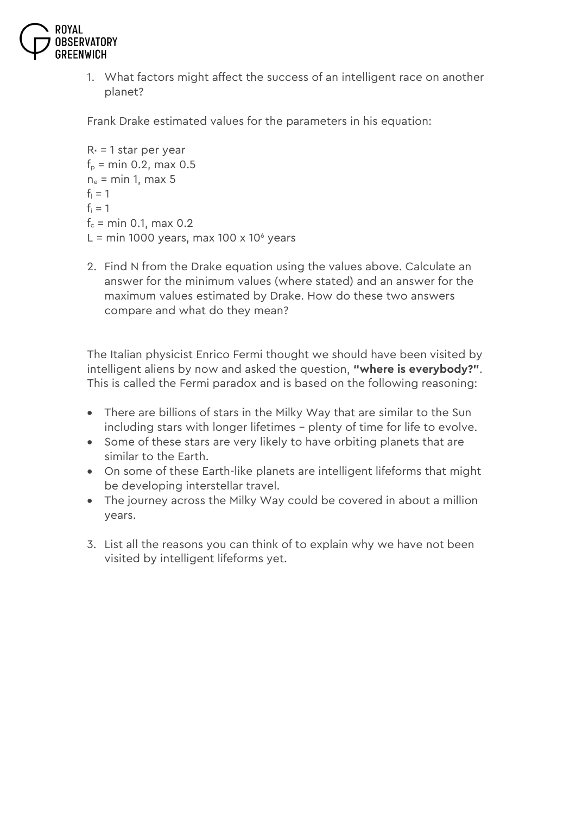

1. What factors might affect the success of an intelligent race on another planet?

Frank Drake estimated values for the parameters in his equation:

```
R<sup>*</sup> = 1 star per year
f_p = min\ 0.2, max 0.5
n_e = min 1, max 5
f_1 = 1f_i = 1f_c = min 0.1, max 0.2
L = min 1000 years, max 100 x 10\degree years
```
2. Find N from the Drake equation using the values above. Calculate an answer for the minimum values (where stated) and an answer for the maximum values estimated by Drake. How do these two answers compare and what do they mean?

The Italian physicist Enrico Fermi thought we should have been visited by intelligent aliens by now and asked the question, **"where is everybody?"**. This is called the Fermi paradox and is based on the following reasoning:

- There are billions of stars in the Milky Way that are similar to the Sun including stars with longer lifetimes – plenty of time for life to evolve.
- Some of these stars are very likely to have orbiting planets that are similar to the Earth.
- On some of these Earth-like planets are intelligent lifeforms that might be developing interstellar travel.
- The journey across the Milky Way could be covered in about a million years.
- 3. List all the reasons you can think of to explain why we have not been visited by intelligent lifeforms yet.